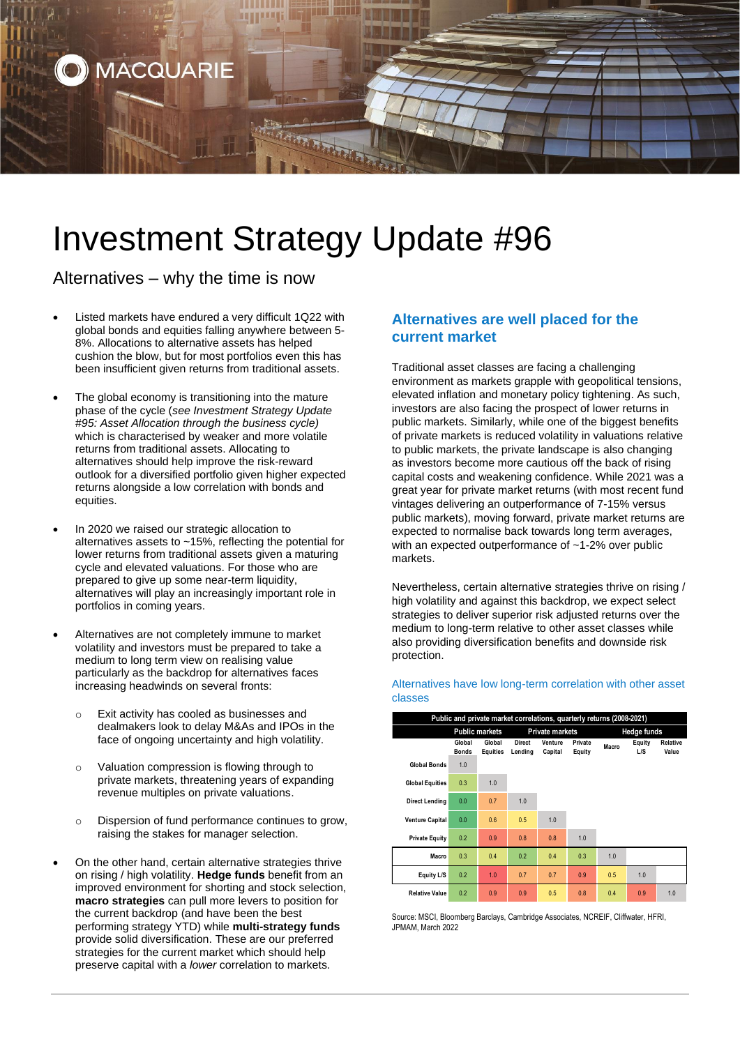

# Investment Strategy Update #96

Alternatives – why the time is now

- Listed markets have endured a very difficult 1Q22 with global bonds and equities falling anywhere between 5- 8%. Allocations to alternative assets has helped cushion the blow, but for most portfolios even this has been insufficient given returns from traditional assets.
- The global economy is transitioning into the mature phase of the cycle (*see Investment Strategy Update #95: Asset Allocation through the business cycle)* which is characterised by weaker and more volatile returns from traditional assets. Allocating to alternatives should help improve the risk-reward outlook for a diversified portfolio given higher expected returns alongside a low correlation with bonds and equities.
- In 2020 we raised our strategic allocation to alternatives assets to ~15%, reflecting the potential for lower returns from traditional assets given a maturing cycle and elevated valuations. For those who are prepared to give up some near-term liquidity, alternatives will play an increasingly important role in portfolios in coming years.
- Alternatives are not completely immune to market volatility and investors must be prepared to take a medium to long term view on realising value particularly as the backdrop for alternatives faces increasing headwinds on several fronts:
	- o Exit activity has cooled as businesses and dealmakers look to delay M&As and IPOs in the face of ongoing uncertainty and high volatility.
	- o Valuation compression is flowing through to private markets, threatening years of expanding revenue multiples on private valuations.
	- o Dispersion of fund performance continues to grow, raising the stakes for manager selection.
- On the other hand, certain alternative strategies thrive on rising / high volatility. **Hedge funds** benefit from an improved environment for shorting and stock selection, **macro strategies** can pull more levers to position for the current backdrop (and have been the best performing strategy YTD) while **multi-strategy funds** provide solid diversification. These are our preferred strategies for the current market which should help preserve capital with a *lower* correlation to markets.

## **Alternatives are well placed for the current market**

Traditional asset classes are facing a challenging environment as markets grapple with geopolitical tensions, elevated inflation and monetary policy tightening. As such, investors are also facing the prospect of lower returns in public markets. Similarly, while one of the biggest benefits of private markets is reduced volatility in valuations relative to public markets, the private landscape is also changing as investors become more cautious off the back of rising capital costs and weakening confidence. While 2021 was a great year for private market returns (with most recent fund vintages delivering an outperformance of 7-15% versus public markets), moving forward, private market returns are expected to normalise back towards long term averages, with an expected outperformance of ~1-2% over public markets.

Nevertheless, certain alternative strategies thrive on rising / high volatility and against this backdrop, we expect select strategies to deliver superior risk adjusted returns over the medium to long-term relative to other asset classes while also providing diversification benefits and downside risk protection.

#### **Global Bonds Global Equities Direct Lending Venture Capital Private Equity Macro Equity L/S Relative Value Global Bonds** 1.0 **Global Equities** 0.3 1.0 **Direct Lending** 0.0 0.7 1.0 **Venture Capital** 0.0 0.6 0.5 1.0 **Private Equity** 0.2 0.9 0.8 0.8 1.0 **Macro** 0.3 0.4 0.2 0.4 0.3 1.0 **Equity L/S** 0.2 1.0 0.7 0.7 0.9 0.5 1.0 **Relative Value** 0.2 0.9 0.9 0.5 0.8 0.4 0.9 1.0 **Public market Public and private market correlations, quarterly returns (2008-2021)**

Source: MSCI, Bloomberg Barclays, Cambridge Associates, NCREIF, Cliffwater, HFRI, JPMAM, March 2022

#### Alternatives have low long-term correlation with other asset classes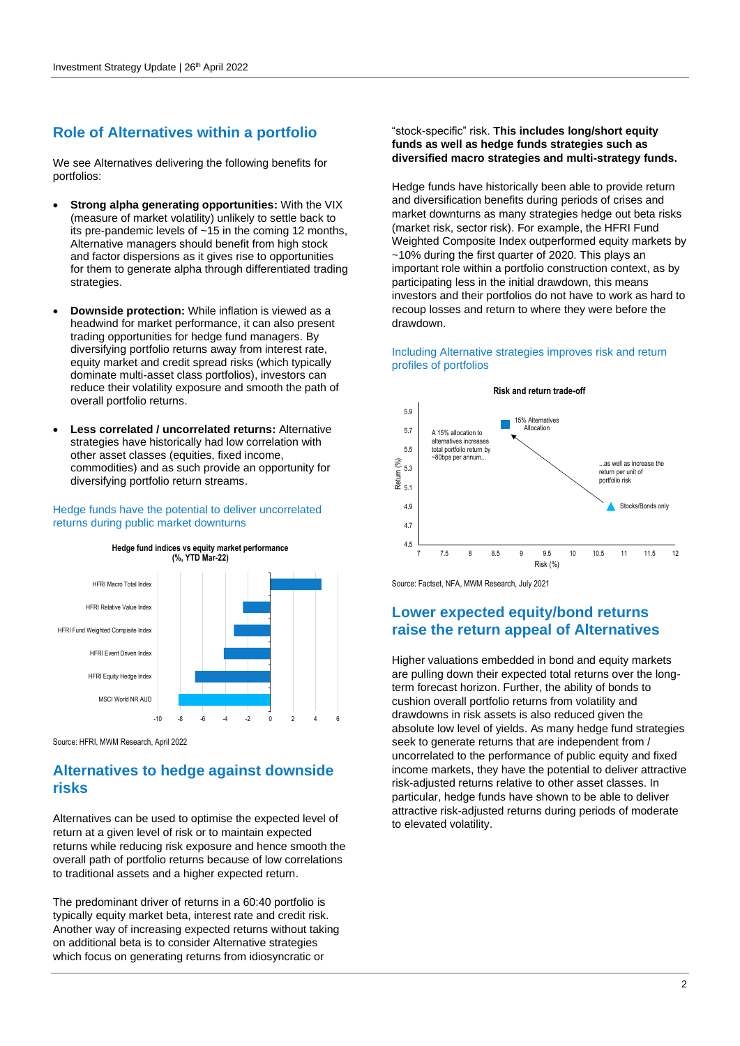# **Role of Alternatives within a portfolio**

We see Alternatives delivering the following benefits for portfolios:

- **Strong alpha generating opportunities:** With the VIX (measure of market volatility) unlikely to settle back to its pre-pandemic levels of ~15 in the coming 12 months, Alternative managers should benefit from high stock and factor dispersions as it gives rise to opportunities for them to generate alpha through differentiated trading strategies.
- **Downside protection:** While inflation is viewed as a headwind for market performance, it can also present trading opportunities for hedge fund managers. By diversifying portfolio returns away from interest rate, equity market and credit spread risks (which typically dominate multi-asset class portfolios), investors can reduce their volatility exposure and smooth the path of overall portfolio returns.
- **Less correlated / uncorrelated returns:** Alternative strategies have historically had low correlation with other asset classes (equities, fixed income, commodities) and as such provide an opportunity for diversifying portfolio return streams.

Hedge funds have the potential to deliver uncorrelated returns during public market downturns



Source: HFRI, MWM Research, April 2022

# **Alternatives to hedge against downside risks**

Alternatives can be used to optimise the expected level of return at a given level of risk or to maintain expected returns while reducing risk exposure and hence smooth the overall path of portfolio returns because of low correlations to traditional assets and a higher expected return.

The predominant driver of returns in a 60:40 portfolio is typically equity market beta, interest rate and credit risk. Another way of increasing expected returns without taking on additional beta is to consider Alternative strategies which focus on generating returns from idiosyncratic or

## "stock-specific" risk. **This includes long/short equity funds as well as hedge funds strategies such as diversified macro strategies and multi-strategy funds.**

Hedge funds have historically been able to provide return and diversification benefits during periods of crises and market downturns as many strategies hedge out beta risks (market risk, sector risk). For example, the HFRI Fund Weighted Composite Index outperformed equity markets by ~10% during the first quarter of 2020. This plays an important role within a portfolio construction context, as by participating less in the initial drawdown, this means investors and their portfolios do not have to work as hard to recoup losses and return to where they were before the drawdown.

## Including Alternative strategies improves risk and return profiles of portfolios



Source: Factset, NFA, MWM Research, July 2021

# **Lower expected equity/bond returns raise the return appeal of Alternatives**

Higher valuations embedded in bond and equity markets are pulling down their expected total returns over the longterm forecast horizon. Further, the ability of bonds to cushion overall portfolio returns from volatility and drawdowns in risk assets is also reduced given the absolute low level of yields. As many hedge fund strategies seek to generate returns that are independent from / uncorrelated to the performance of public equity and fixed income markets, they have the potential to deliver attractive risk-adjusted returns relative to other asset classes. In particular, hedge funds have shown to be able to deliver attractive risk-adjusted returns during periods of moderate to elevated volatility.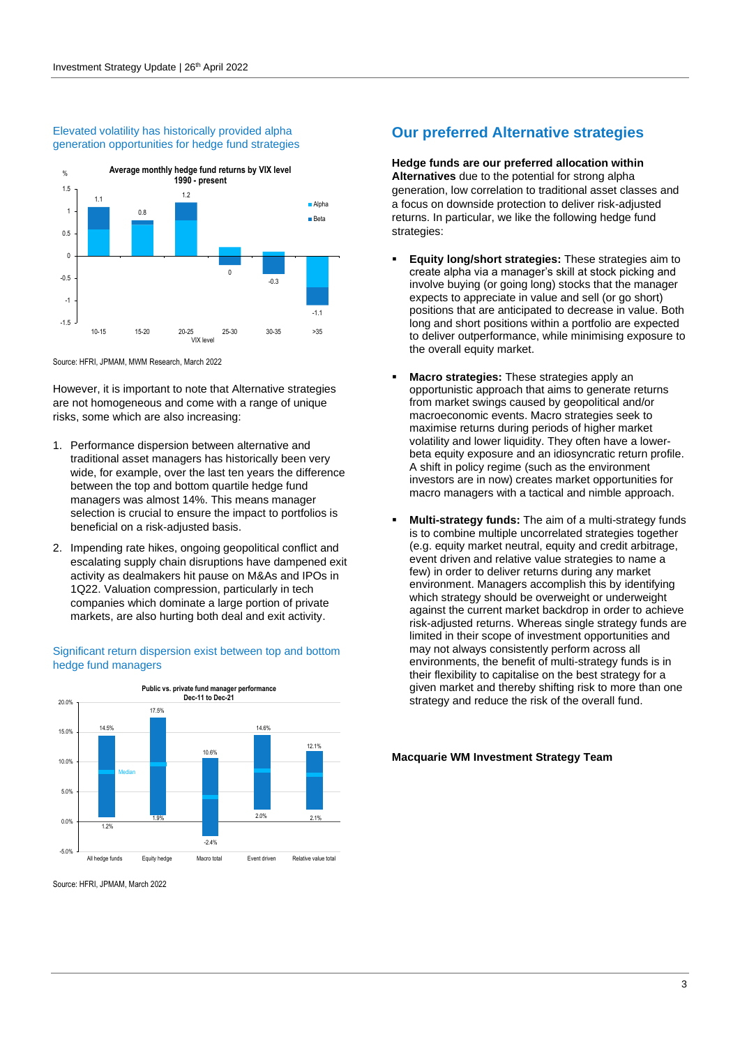#### Elevated volatility has historically provided alpha generation opportunities for hedge fund strategies



Source: HFRI, JPMAM, MWM Research, March 2022

However, it is important to note that Alternative strategies are not homogeneous and come with a range of unique risks, some which are also increasing:

- 1. Performance dispersion between alternative and traditional asset managers has historically been very wide, for example, over the last ten years the difference between the top and bottom quartile hedge fund managers was almost 14%. This means manager selection is crucial to ensure the impact to portfolios is beneficial on a risk-adjusted basis.
- 2. Impending rate hikes, ongoing geopolitical conflict and escalating supply chain disruptions have dampened exit activity as dealmakers hit pause on M&As and IPOs in 1Q22. Valuation compression, particularly in tech companies which dominate a large portion of private markets, are also hurting both deal and exit activity.

#### Significant return dispersion exist between top and bottom hedge fund managers



Source: HERL, JPMAM, March 2022

## **Our preferred Alternative strategies**

**Hedge funds are our preferred allocation within Alternatives** due to the potential for strong alpha generation, low correlation to traditional asset classes and a focus on downside protection to deliver risk-adjusted returns. In particular, we like the following hedge fund strategies:

- **Equity long/short strategies:** These strategies aim to create alpha via a manager's skill at stock picking and involve buying (or going long) stocks that the manager expects to appreciate in value and sell (or go short) positions that are anticipated to decrease in value. Both long and short positions within a portfolio are expected to deliver outperformance, while minimising exposure to the overall equity market.
- **Macro strategies:** These strategies apply an opportunistic approach that aims to generate returns from market swings caused by geopolitical and/or macroeconomic events. Macro strategies seek to maximise returns during periods of higher market volatility and lower liquidity. They often have a lowerbeta equity exposure and an idiosyncratic return profile. A shift in policy regime (such as the environment investors are in now) creates market opportunities for macro managers with a tactical and nimble approach.
- **Multi-strategy funds:** The aim of a multi-strategy funds is to combine multiple uncorrelated strategies together (e.g. equity market neutral, equity and credit arbitrage, event driven and relative value strategies to name a few) in order to deliver returns during any market environment. Managers accomplish this by identifying which strategy should be overweight or underweight against the current market backdrop in order to achieve risk-adjusted returns. Whereas single strategy funds are limited in their scope of investment opportunities and may not always consistently perform across all environments, the benefit of multi-strategy funds is in their flexibility to capitalise on the best strategy for a given market and thereby shifting risk to more than one strategy and reduce the risk of the overall fund.

#### **Macquarie WM Investment Strategy Team**